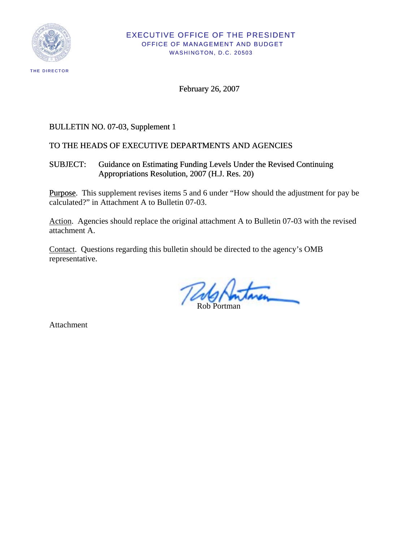

February 26, 2007

# BULLETIN NO. 07-03, Supplement 1

# TO THE HEADS OF EXECUTIVE DEPARTMENTS AND AGENCIES

SUBJECT: Guidance on Estimating Funding Levels Under the Revised Continuing Appropriations Resolution, 2007 (H.J. Res. 20)

Purpose. This supplement revises items 5 and 6 under "How should the adjustment for pay be calculated?" in Attachment A to Bulletin 07-03.

Action. Agencies should replace the original attachment A to Bulletin 07-03 with the revised attachment A.

Contact. Questions regarding this bulletin should be directed to the agency's OMB representative.

Rob Portman

Attachment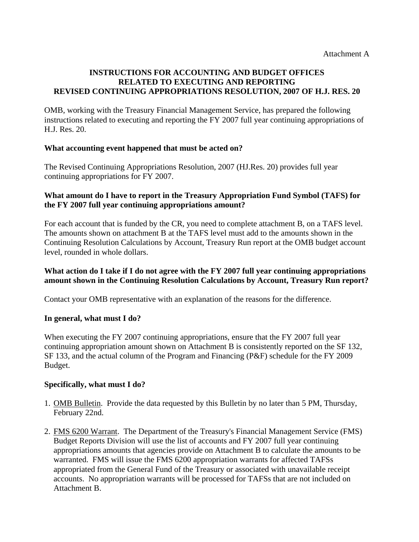#### **INSTRUCTIONS FOR ACCOUNTING AND BUDGET OFFICES RELATED TO EXECUTING AND REPORTING REVISED CONTINUING APPROPRIATIONS RESOLUTION, 2007 OF H.J. RES. 20**

OMB, working with the Treasury Financial Management Service, has prepared the following instructions related to executing and reporting the FY 2007 full year continuing appropriations of H.J. Res. 20.

### **What accounting event happened that must be acted on?**

The Revised Continuing Appropriations Resolution, 2007 (HJ.Res. 20) provides full year continuing appropriations for FY 2007.

### **What amount do I have to report in the Treasury Appropriation Fund Symbol (TAFS) for the FY 2007 full year continuing appropriations amount?**

For each account that is funded by the CR, you need to complete attachment B, on a TAFS level. The amounts shown on attachment B at the TAFS level must add to the amounts shown in the Continuing Resolution Calculations by Account, Treasury Run report at the OMB budget account level, rounded in whole dollars.

# **What action do I take if I do not agree with the FY 2007 full year continuing appropriations amount shown in the Continuing Resolution Calculations by Account, Treasury Run report?**

Contact your OMB representative with an explanation of the reasons for the difference.

# **In general, what must I do?**

When executing the FY 2007 continuing appropriations, ensure that the FY 2007 full year continuing appropriation amount shown on Attachment B is consistently reported on the SF 132, SF 133, and the actual column of the Program and Financing (P&F) schedule for the FY 2009 Budget.

# **Specifically, what must I do?**

- 1. OMB Bulletin. Provide the data requested by this Bulletin by no later than 5 PM, Thursday, February 22nd.
- 2. FMS 6200 Warrant. The Department of the Treasury's Financial Management Service (FMS) Budget Reports Division will use the list of accounts and FY 2007 full year continuing appropriations amounts that agencies provide on Attachment B to calculate the amounts to be warranted. FMS will issue the FMS 6200 appropriation warrants for affected TAFSs appropriated from the General Fund of the Treasury or associated with unavailable receipt accounts. No appropriation warrants will be processed for TAFSs that are not included on Attachment B.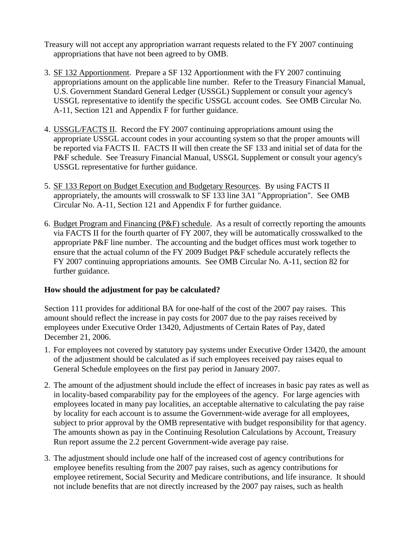- Treasury will not accept any appropriation warrant requests related to the FY 2007 continuing appropriations that have not been agreed to by OMB.
- 3. SF 132 Apportionment. Prepare a SF 132 Apportionment with the FY 2007 continuing appropriations amount on the applicable line number. Refer to the Treasury Financial Manual, U.S. Government Standard General Ledger (USSGL) Supplement or consult your agency's USSGL representative to identify the specific USSGL account codes. See OMB Circular No. A-11, Section 121 and Appendix F for further guidance.
- 4. USSGL/FACTS II. Record the FY 2007 continuing appropriations amount using the appropriate USSGL account codes in your accounting system so that the proper amounts will be reported via FACTS II. FACTS II will then create the SF 133 and initial set of data for the P&F schedule. See Treasury Financial Manual, USSGL Supplement or consult your agency's USSGL representative for further guidance.
- 5. SF 133 Report on Budget Execution and Budgetary Resources. By using FACTS II appropriately, the amounts will crosswalk to SF 133 line 3A1 "Appropriation". See OMB Circular No. A-11, Section 121 and Appendix F for further guidance.
- 6. Budget Program and Financing (P&F) schedule. As a result of correctly reporting the amounts via FACTS II for the fourth quarter of FY 2007, they will be automatically crosswalked to the appropriate P&F line number. The accounting and the budget offices must work together to ensure that the actual column of the FY 2009 Budget P&F schedule accurately reflects the FY 2007 continuing appropriations amounts. See OMB Circular No. A-11, section 82 for further guidance.

# **How should the adjustment for pay be calculated?**

Section 111 provides for additional BA for one-half of the cost of the 2007 pay raises. This amount should reflect the increase in pay costs for 2007 due to the pay raises received by employees under Executive Order 13420, Adjustments of Certain Rates of Pay, dated December 21, 2006.

- 1. For employees not covered by statutory pay systems under Executive Order 13420, the amount of the adjustment should be calculated as if such employees received pay raises equal to General Schedule employees on the first pay period in January 2007.
- 2. The amount of the adjustment should include the effect of increases in basic pay rates as well as in locality-based comparability pay for the employees of the agency. For large agencies with employees located in many pay localities, an acceptable alternative to calculating the pay raise by locality for each account is to assume the Government-wide average for all employees, subject to prior approval by the OMB representative with budget responsibility for that agency. The amounts shown as pay in the Continuing Resolution Calculations by Account, Treasury Run report assume the 2.2 percent Government-wide average pay raise.
- 3. The adjustment should include one half of the increased cost of agency contributions for employee benefits resulting from the 2007 pay raises, such as agency contributions for employee retirement, Social Security and Medicare contributions, and life insurance. It should not include benefits that are not directly increased by the 2007 pay raises, such as health